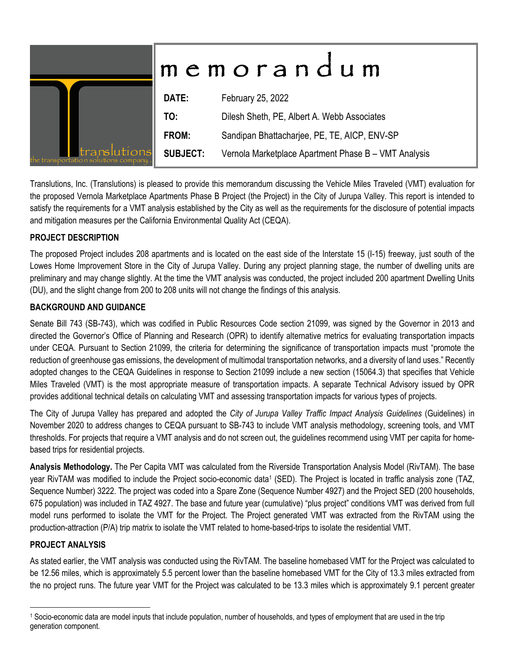|                                                      | memorandum      |                                                      |  |  |  |
|------------------------------------------------------|-----------------|------------------------------------------------------|--|--|--|
|                                                      | DATE:           | February 25, 2022                                    |  |  |  |
|                                                      | TO:             | Dilesh Sheth, PE, Albert A. Webb Associates          |  |  |  |
|                                                      | FROM:           | Sandipan Bhattacharjee, PE, TE, AICP, ENV-SP         |  |  |  |
| ranslutions<br>the transportation solutions company. | <b>SUBJECT:</b> | Vernola Marketplace Apartment Phase B - VMT Analysis |  |  |  |

Translutions, Inc. (Translutions) is pleased to provide this memorandum discussing the Vehicle Miles Traveled (VMT) evaluation for the proposed Vernola Marketplace Apartments Phase B Project (the Project) in the City of Jurupa Valley. This report is intended to satisfy the requirements for a VMT analysis established by the City as well as the requirements for the disclosure of potential impacts and mitigation measures per the California Environmental Quality Act (CEQA).

### **PROJECT DESCRIPTION**

The proposed Project includes 208 apartments and is located on the east side of the Interstate 15 (I-15) freeway, just south of the Lowes Home Improvement Store in the City of Jurupa Valley. During any project planning stage, the number of dwelling units are preliminary and may change slightly. At the time the VMT analysis was conducted, the project included 200 apartment Dwelling Units (DU), and the slight change from 200 to 208 units will not change the findings of this analysis.

### **BACKGROUND AND GUIDANCE**

Senate Bill 743 (SB-743), which was codified in Public Resources Code section 21099, was signed by the Governor in 2013 and directed the Governor's Office of Planning and Research (OPR) to identify alternative metrics for evaluating transportation impacts under CEQA. Pursuant to Section 21099, the criteria for determining the significance of transportation impacts must "promote the reduction of greenhouse gas emissions, the development of multimodal transportation networks, and a diversity of land uses." Recently adopted changes to the CEQA Guidelines in response to Section 21099 include a new section (15064.3) that specifies that Vehicle Miles Traveled (VMT) is the most appropriate measure of transportation impacts. A separate Technical Advisory issued by OPR provides additional technical details on calculating VMT and assessing transportation impacts for various types of projects.

The City of Jurupa Valley has prepared and adopted the *City of Jurupa Valley Traffic Impact Analysis Guidelines* (Guidelines) in November 2020 to address changes to CEQA pursuant to SB-743 to include VMT analysis methodology, screening tools, and VMT thresholds. For projects that require a VMT analysis and do not screen out, the guidelines recommend using VMT per capita for homebased trips for residential projects.

**Analysis Methodology.** The Per Capita VMT was calculated from the Riverside Transportation Analysis Model (RivTAM). The base year RivTAM was modified to include the Project socio-economic data<sup>1</sup> (SED). The Project is located in traffic analysis zone (TAZ, Sequence Number) 3222. The project was coded into a Spare Zone (Sequence Number 4927) and the Project SED (200 households, 675 population) was included in TAZ 4927. The base and future year (cumulative) "plus project" conditions VMT was derived from full model runs performed to isolate the VMT for the Project. The Project generated VMT was extracted from the RivTAM using the production-attraction (P/A) trip matrix to isolate the VMT related to home-based-trips to isolate the residential VMT.

#### **PROJECT ANALYSIS**

As stated earlier, the VMT analysis was conducted using the RivTAM. The baseline homebased VMT for the Project was calculated to be 12.56 miles, which is approximately 5.5 percent lower than the baseline homebased VMT for the City of 13.3 miles extracted from the no project runs. The future year VMT for the Project was calculated to be 13.3 miles which is approximately 9.1 percent greater

<sup>1</sup> Socio-economic data are model inputs that include population, number of households, and types of employment that are used in the trip generation component.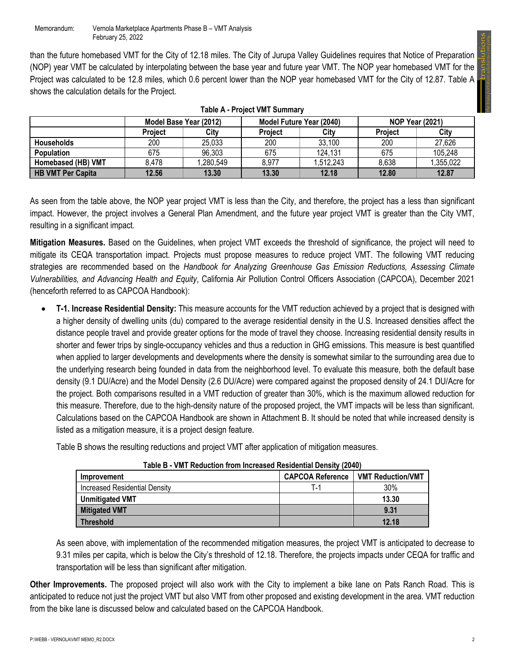the transportation solutions company...

than the future homebased VMT for the City of 12.18 miles. The City of Jurupa Valley Guidelines requires that Notice of Preparation (NOP) year VMT be calculated by interpolating between the base year and future year VMT. The NOP year homebased VMT for the Project was calculated to be 12.8 miles, which 0.6 percent lower than the NOP year homebased VMT for the City of 12.87. Table A shows the calculation details for the Project.

| I AVIC A' FIVICUL VIVI I JUIIIIIIAI V |                |                        |                |                          |                        |           |  |  |  |  |
|---------------------------------------|----------------|------------------------|----------------|--------------------------|------------------------|-----------|--|--|--|--|
|                                       |                | Model Base Year (2012) |                | Model Future Year (2040) | <b>NOP Year (2021)</b> |           |  |  |  |  |
|                                       | <b>Project</b> | Citv                   | <b>Project</b> | <b>Project</b>           | City                   |           |  |  |  |  |
| <b>Households</b>                     | 200            | 25,033                 | 200            | 33.100                   | 200                    | 27,626    |  |  |  |  |
| <b>Population</b>                     | 675            | 96,303                 | 675            | 124.131                  | 675                    | 105,248   |  |  |  |  |
| Homebased (HB) VMT                    | 8,478          | ,280,549               | 8,977          | 1,512,243                | 8,638                  | 1,355,022 |  |  |  |  |
| <b>HB VMT Per Capita</b>              | 12.56          | 13.30                  | 13.30          | 12.18                    | 12.80                  | 12.87     |  |  |  |  |

**Table A - Project VMT Summary** 

As seen from the table above, the NOP year project VMT is less than the City, and therefore, the project has a less than significant impact. However, the project involves a General Plan Amendment, and the future year project VMT is greater than the City VMT, resulting in a significant impact.

**Mitigation Measures.** Based on the Guidelines, when project VMT exceeds the threshold of significance, the project will need to mitigate its CEQA transportation impact. Projects must propose measures to reduce project VMT. The following VMT reducing strategies are recommended based on the *Handbook for Analyzing Greenhouse Gas Emission Reductions, Assessing Climate Vulnerabilities, and Advancing Health and Equity*, California Air Pollution Control Officers Association (CAPCOA), December 2021 (henceforth referred to as CAPCOA Handbook):

 **T-1. Increase Residential Density:** This measure accounts for the VMT reduction achieved by a project that is designed with a higher density of dwelling units (du) compared to the average residential density in the U.S. Increased densities affect the distance people travel and provide greater options for the mode of travel they choose. Increasing residential density results in shorter and fewer trips by single-occupancy vehicles and thus a reduction in GHG emissions. This measure is best quantified when applied to larger developments and developments where the density is somewhat similar to the surrounding area due to the underlying research being founded in data from the neighborhood level. To evaluate this measure, both the default base density (9.1 DU/Acre) and the Model Density (2.6 DU/Acre) were compared against the proposed density of 24.1 DU/Acre for the project. Both comparisons resulted in a VMT reduction of greater than 30%, which is the maximum allowed reduction for this measure. Therefore, due to the high-density nature of the proposed project, the VMT impacts will be less than significant. Calculations based on the CAPCOA Handbook are shown in Attachment B. It should be noted that while increased density is listed as a mitigation measure, it is a project design feature.

Table B shows the resulting reductions and project VMT after application of mitigation measures.

| I ANG D - VIII I I\GUUCUUII IIUIII IIICIGASGU I\GSIUGIIUAI DGIISILV (ZUTV) |                         |                          |  |  |  |  |  |  |
|----------------------------------------------------------------------------|-------------------------|--------------------------|--|--|--|--|--|--|
| <b>Improvement</b>                                                         | <b>CAPCOA Reference</b> | <b>VMT Reduction/VMT</b> |  |  |  |  |  |  |
| <b>Increased Residential Density</b>                                       | т.,                     | 30%                      |  |  |  |  |  |  |
| <b>Unmitigated VMT</b>                                                     |                         | 13.30                    |  |  |  |  |  |  |
| <b>Mitigated VMT</b>                                                       |                         | 9.31                     |  |  |  |  |  |  |
| <b>Threshold</b>                                                           |                         | 12.18                    |  |  |  |  |  |  |

**Table B - VMT Reduction from Increased Residential Density (2040)**

As seen above, with implementation of the recommended mitigation measures, the project VMT is anticipated to decrease to 9.31 miles per capita, which is below the City's threshold of 12.18. Therefore, the projects impacts under CEQA for traffic and transportation will be less than significant after mitigation.

**Other Improvements.** The proposed project will also work with the City to implement a bike lane on Pats Ranch Road. This is anticipated to reduce not just the project VMT but also VMT from other proposed and existing development in the area. VMT reduction from the bike lane is discussed below and calculated based on the CAPCOA Handbook.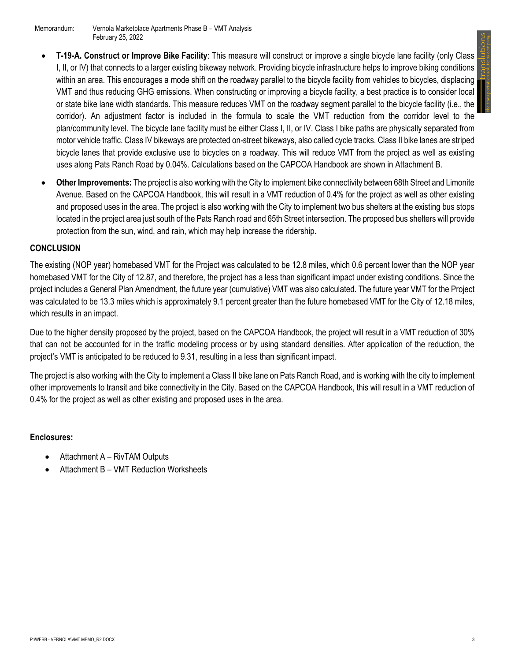- **T-19-A. Construct or Improve Bike Facility**: This measure will construct or improve a single bicycle lane facility (only Class I, II, or IV) that connects to a larger existing bikeway network. Providing bicycle infrastructure helps to improve biking conditions within an area. This encourages a mode shift on the roadway parallel to the bicycle facility from vehicles to bicycles, displacing VMT and thus reducing GHG emissions. When constructing or improving a bicycle facility, a best practice is to consider local or state bike lane width standards. This measure reduces VMT on the roadway segment parallel to the bicycle facility (i.e., the corridor). An adjustment factor is included in the formula to scale the VMT reduction from the corridor level to the plan/community level. The bicycle lane facility must be either Class I, II, or IV. Class I bike paths are physically separated from motor vehicle traffic. Class IV bikeways are protected on-street bikeways, also called cycle tracks. Class II bike lanes are striped bicycle lanes that provide exclusive use to bicycles on a roadway. This will reduce VMT from the project as well as existing uses along Pats Ranch Road by 0.04%. Calculations based on the CAPCOA Handbook are shown in Attachment B.
- **Other Improvements:** The project is also working with the City to implement bike connectivity between 68th Street and Limonite Avenue. Based on the CAPCOA Handbook, this will result in a VMT reduction of 0.4% for the project as well as other existing and proposed uses in the area. The project is also working with the City to implement two bus shelters at the existing bus stops located in the project area just south of the Pats Ranch road and 65th Street intersection. The proposed bus shelters will provide protection from the sun, wind, and rain, which may help increase the ridership.

## **CONCLUSION**

The existing (NOP year) homebased VMT for the Project was calculated to be 12.8 miles, which 0.6 percent lower than the NOP year homebased VMT for the City of 12.87, and therefore, the project has a less than significant impact under existing conditions. Since the project includes a General Plan Amendment, the future year (cumulative) VMT was also calculated. The future year VMT for the Project was calculated to be 13.3 miles which is approximately 9.1 percent greater than the future homebased VMT for the City of 12.18 miles, which results in an impact.

Due to the higher density proposed by the project, based on the CAPCOA Handbook, the project will result in a VMT reduction of 30% that can not be accounted for in the traffic modeling process or by using standard densities. After application of the reduction, the project's VMT is anticipated to be reduced to 9.31, resulting in a less than significant impact.

The project is also working with the City to implement a Class II bike lane on Pats Ranch Road, and is working with the city to implement other improvements to transit and bike connectivity in the City. Based on the CAPCOA Handbook, this will result in a VMT reduction of 0.4% for the project as well as other existing and proposed uses in the area.

#### **Enclosures:**

- Attachment A RivTAM Outputs
- Attachment B VMT Reduction Worksheets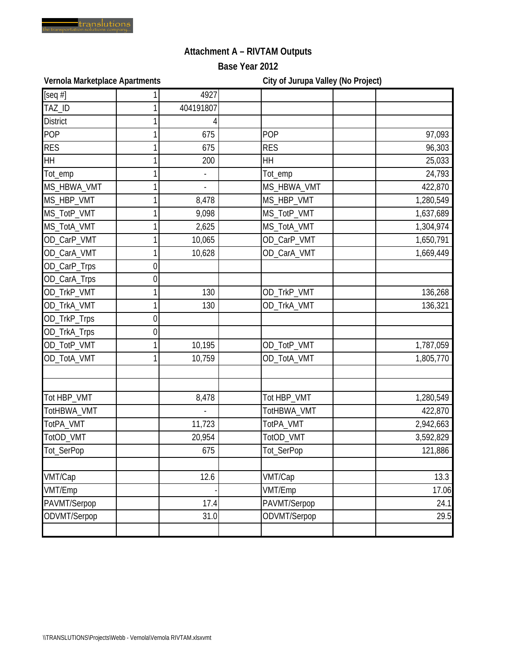

# **Attachment A – RIVTAM Outputs**

**Base Year 2012**

Vernola Marketplace Apartments **City of Jurupa Valley (No Project)** 

| [seq $#$ ]      |   | 4927      |              |           |
|-----------------|---|-----------|--------------|-----------|
| TAZ_ID          |   | 404191807 |              |           |
| <b>District</b> |   |           |              |           |
| <b>POP</b>      |   | 675       | POP          | 97,093    |
| <b>RES</b>      |   | 675       | <b>RES</b>   | 96,303    |
| <b>HH</b>       |   | 200       | HH           | 25,033    |
| Tot_emp         |   |           | Tot_emp      | 24,793    |
| MS_HBWA_VMT     |   |           | MS_HBWA_VMT  | 422,870   |
| MS_HBP_VMT      |   | 8,478     | MS_HBP_VMT   | 1,280,549 |
| MS_TotP_VMT     |   | 9,098     | MS_TotP_VMT  | 1,637,689 |
| MS_TotA_VMT     |   | 2,625     | MS_TotA_VMT  | 1,304,974 |
| OD_CarP_VMT     |   | 10,065    | OD_CarP_VMT  | 1,650,791 |
| OD_CarA_VMT     |   | 10,628    | OD_CarA_VMT  | 1,669,449 |
| OD_CarP_Trps    | 0 |           |              |           |
| OD_CarA_Trps    | 0 |           |              |           |
| OD_TrkP_VMT     |   | 130       | OD_TrkP_VMT  | 136,268   |
| OD_TrkA_VMT     |   | 130       | OD_TrkA_VMT  | 136,321   |
| OD_TrkP_Trps    | 0 |           |              |           |
| OD_TrkA_Trps    | 0 |           |              |           |
| OD_TotP_VMT     |   | 10,195    | OD_TotP_VMT  | 1,787,059 |
| OD_TotA_VMT     |   | 10,759    | OD_TotA_VMT  | 1,805,770 |
|                 |   |           |              |           |
| Tot HBP_VMT     |   | 8,478     | Tot HBP_VMT  | 1,280,549 |
| TotHBWA_VMT     |   |           | TotHBWA_VMT  | 422,870   |
| TotPA_VMT       |   | 11,723    | TotPA_VMT    | 2,942,663 |
| TotOD_VMT       |   | 20,954    | TotOD_VMT    | 3,592,829 |
| Tot_SerPop      |   | 675       | Tot_SerPop   | 121,886   |
| VMT/Cap         |   | 12.6      | VMT/Cap      | 13.3      |
| VMT/Emp         |   |           | VMT/Emp      | 17.06     |
| PAVMT/Serpop    |   | 17.4      | PAVMT/Serpop | 24.1      |
| ODVMT/Serpop    |   | 31.0      | ODVMT/Serpop | 29.5      |
|                 |   |           |              |           |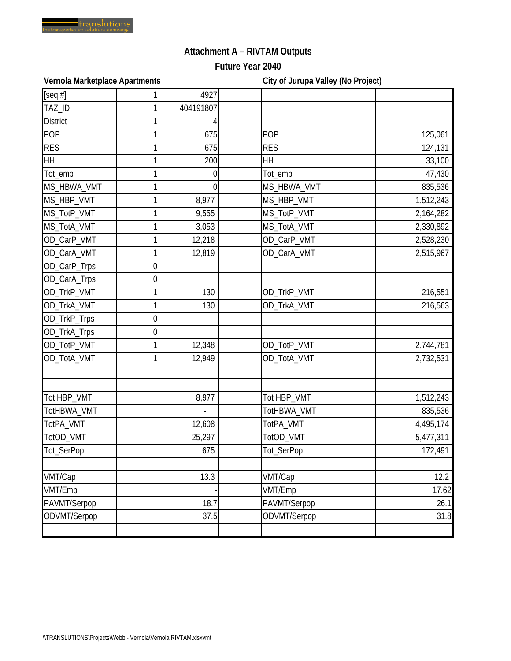

# **Attachment A – RIVTAM Outputs**

**Future Year 2040**

Vernola Marketplace Apartments **City of Jurupa Valley (No Project)** 

| [seq $#$ ]      |   | 4927      |              |           |
|-----------------|---|-----------|--------------|-----------|
| TAZ_ID          |   | 404191807 |              |           |
| <b>District</b> |   |           |              |           |
| <b>POP</b>      |   | 675       | POP          | 125,061   |
| <b>RES</b>      |   | 675       | <b>RES</b>   | 124,131   |
| <b>HH</b>       |   | 200       | HH           | 33,100    |
| Tot_emp         |   | 0         | Tot_emp      | 47,430    |
| MS_HBWA_VMT     |   | 0         | MS_HBWA_VMT  | 835,536   |
| MS_HBP_VMT      |   | 8,977     | MS_HBP_VMT   | 1,512,243 |
| MS_TotP_VMT     |   | 9,555     | MS_TotP_VMT  | 2,164,282 |
| MS_TotA_VMT     |   | 3,053     | MS_TotA_VMT  | 2,330,892 |
| OD_CarP_VMT     |   | 12,218    | OD_CarP_VMT  | 2,528,230 |
| OD_CarA_VMT     |   | 12,819    | OD_CarA_VMT  | 2,515,967 |
| OD_CarP_Trps    | 0 |           |              |           |
| OD_CarA_Trps    | 0 |           |              |           |
| OD_TrkP_VMT     |   | 130       | OD_TrkP_VMT  | 216,551   |
| OD_TrkA_VMT     |   | 130       | OD_TrkA_VMT  | 216,563   |
| OD_TrkP_Trps    | 0 |           |              |           |
| OD_TrkA_Trps    | 0 |           |              |           |
| OD_TotP_VMT     |   | 12,348    | OD_TotP_VMT  | 2,744,781 |
| OD_TotA_VMT     |   | 12,949    | OD_TotA_VMT  | 2,732,531 |
|                 |   |           |              |           |
| Tot HBP_VMT     |   | 8,977     | Tot HBP_VMT  | 1,512,243 |
| TotHBWA_VMT     |   |           | TotHBWA_VMT  | 835,536   |
| TotPA_VMT       |   | 12,608    | TotPA_VMT    | 4,495,174 |
| TotOD_VMT       |   | 25,297    | TotOD_VMT    | 5,477,311 |
| Tot_SerPop      |   | 675       | Tot_SerPop   | 172,491   |
| VMT/Cap         |   | 13.3      | VMT/Cap      | 12.2      |
| VMT/Emp         |   |           | VMT/Emp      | 17.62     |
| PAVMT/Serpop    |   | 18.7      | PAVMT/Serpop | 26.1      |
| ODVMT/Serpop    |   | 37.5      | ODVMT/Serpop | 31.8      |
|                 |   |           |              |           |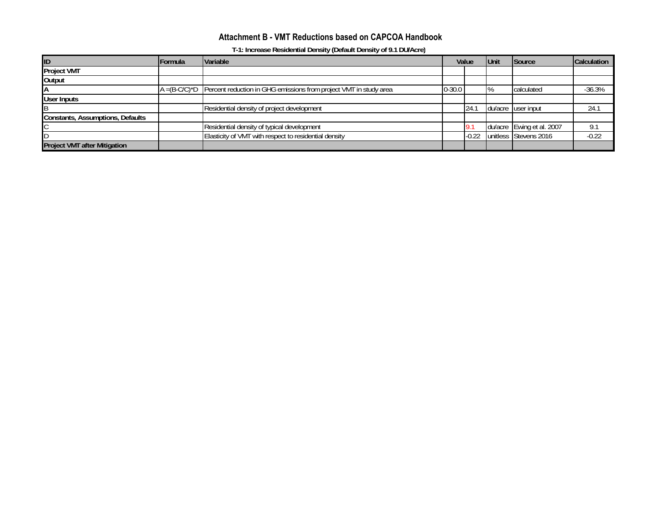### **Attachment B - VMT Reductions based on CAPCOA Handbook**

**T-1: Increase Residential Density (Default Density of 9.1 DU/Acre)**

| ID                                  | Formula | <b>Variable</b>                                                                    | Value      |         | <b>IUnit</b> | <b>Source</b>             | Calculation |
|-------------------------------------|---------|------------------------------------------------------------------------------------|------------|---------|--------------|---------------------------|-------------|
| <b>Project VMT</b>                  |         |                                                                                    |            |         |              |                           |             |
| Output                              |         |                                                                                    |            |         |              |                           |             |
| IΑ                                  |         | $A = (B-C/C)^*D$ Percent reduction in GHG emissions from project VMT in study area | $0 - 30.0$ |         | $1\%$        | calculated                | $-36.3%$    |
| User Inputs                         |         |                                                                                    |            |         |              |                           |             |
|                                     |         | Residential density of project development                                         |            | 24.1    |              | du/acre user input        | 24.1        |
| Constants, Assumptions, Defaults    |         |                                                                                    |            |         |              |                           |             |
|                                     |         | Residential density of typical development                                         |            |         |              | du/acre Ewing et al. 2007 | 9.1         |
|                                     |         | Elasticity of VMT with respect to residential density                              |            | $-0.22$ |              | unitless Stevens 2016     | $-0.22$     |
| <b>Project VMT after Mitigation</b> |         |                                                                                    |            |         |              |                           |             |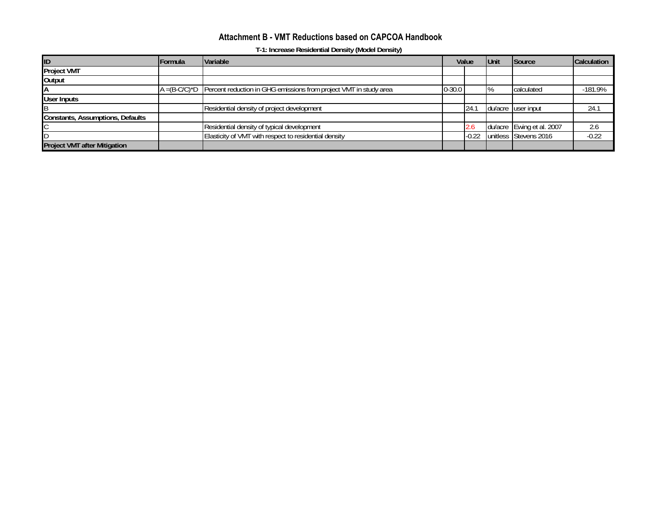### **Attachment B - VMT Reductions based on CAPCOA Handbook**

**T-1: Increase Residential Density (Model Density)**

| ID                                  | Formula | <b>Variable</b>                                                                    | Value      |         | <b>IUnit</b> | <b>Source</b>             | Calculation |
|-------------------------------------|---------|------------------------------------------------------------------------------------|------------|---------|--------------|---------------------------|-------------|
| <b>Project VMT</b>                  |         |                                                                                    |            |         |              |                           |             |
| Output                              |         |                                                                                    |            |         |              |                           |             |
| IΑ                                  |         | $A = (B-C/C)^*D$ Percent reduction in GHG emissions from project VMT in study area | $0 - 30.0$ |         | $1\%$        | calculated                | $-181.9%$   |
| User Inputs                         |         |                                                                                    |            |         |              |                           |             |
|                                     |         | Residential density of project development                                         |            | 24.1    |              | du/acre user input        | 24.1        |
| Constants, Assumptions, Defaults    |         |                                                                                    |            |         |              |                           |             |
|                                     |         | Residential density of typical development                                         |            | 2.6     |              | du/acre Ewing et al. 2007 | 2.6         |
|                                     |         | Elasticity of VMT with respect to residential density                              |            | $-0.22$ |              | unitless Stevens 2016     | $-0.22$     |
| <b>Project VMT after Mitigation</b> |         |                                                                                    |            |         |              |                           |             |